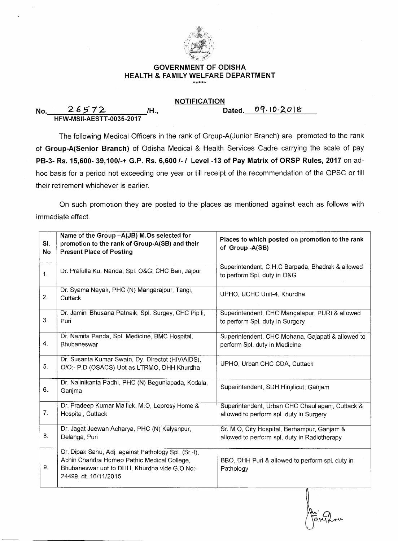

## **GOVERNMENT OF ODISHA HEALTH & FAMILY WELFARE DEPARTMENT**

## **NOTIFICATION**

| <b>No</b> | 26572                           | /H | Dated. $09.10.2018$ |
|-----------|---------------------------------|----|---------------------|
|           | <b>HFW-MSII-AESTT-0035-2017</b> |    |                     |

The following Medical Officers in the rank of Group-A(Junior Branch) are promoted to the rank of **Group-A(Senior Branch)** of Odisha Medical & Health Services Cadre carrying the scale of pay **PB-3- Rs. 15,600- 39,100/-+ G.P. Rs. 6,600 /- / Level -13 of Pay Matrix of ORSP Rules, 2017** on adhoc basis for a period not exceeding one year or till receipt of the recommendation of the OPSC or till their retirement whichever is earlier.

On such promotion they are posted to the places as mentioned against each as follows with immediate effect.

| SI.<br><b>No</b> | Name of the Group -A(JB) M.Os selected for<br>promotion to the rank of Group-A(SB) and their<br><b>Present Place of Posting</b>                                               | Places to which posted on promotion to the rank<br>of Group -A(SB)                          |
|------------------|-------------------------------------------------------------------------------------------------------------------------------------------------------------------------------|---------------------------------------------------------------------------------------------|
| 1.               | Dr. Prafulla Ku. Nanda, Spl. O&G, CHC Bari, Jajpur                                                                                                                            | Superintendent, C.H.C Barpada, Bhadrak & allowed<br>to perform Spl. duty in O&G             |
| 2.               | Dr. Syama Nayak, PHC (N) Mangarajpur, Tangi,<br>Cuttack                                                                                                                       | UPHO, UCHC Unit-4, Khurdha                                                                  |
| 3.               | Dr. Jamini Bhusana Patnaik, Spl. Surgey, CHC Pipili,<br>Puri                                                                                                                  | Superintendent, CHC Mangalapur, PURI & allowed<br>to perform Spl. duty in Surgery           |
| 4.               | Dr. Namita Panda, Spl. Medicine, BMC Hospital,<br>Bhubaneswar                                                                                                                 | Superintendent, CHC Mohana, Gajapati & allowed to<br>perform Spl. duty in Medicine          |
| 5.               | Dr. Susanta Kumar Swain, Dy. Directot (HIV/AIDS),<br>O/O:- P.D (OSACS) Uot as LTRMO, DHH Khurdha                                                                              | UPHO, Urban CHC CDA, Cuttack                                                                |
| 6.               | Dr. Nalinikanta Padhi, PHC (N) Beguniapada, Kodala,<br>Ganjma                                                                                                                 | Superintendent, SDH Hinjilicut, Ganjam                                                      |
| 7.               | Dr. Pradeep Kumar Mallick, M.O. Leprosy Home &<br>Hospital, Cuttack                                                                                                           | Superintendent, Urban CHC Chauliaganj, Cuttack &<br>allowed to perform spl. duty in Surgery |
| 8.               | Dr. Jagat Jeewan Acharya, PHC (N) Kalyanpur,<br>Delanga, Puri                                                                                                                 | Sr. M.O, City Hospital, Berhampur, Ganjam &<br>allowed to perform spl. duty in Radiotherapy |
| 9.               | Dr. Dipak Sahu, Adj. against Pathology Spl. (Sr.-I),<br>Abhin Chandra Homeo Pathic Medical College,<br>Bhubaneswar uot to DHH, Khurdha vide G.O No:-<br>24499, dt. 16/11/2015 | BBO, DHH Puri & allowed to perform spl. duty in<br>Pathology                                |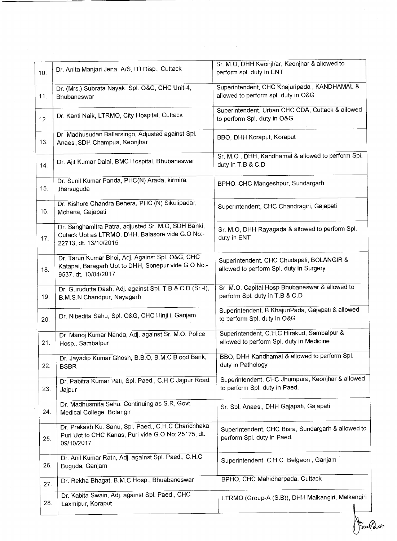| 10. | Dr. Anita Manjari Jena, A/S, ITI Disp., Cuttack                                                                                  | Sr. M.O, DHH Keonjhar, Keonjhar & allowed to<br>perform spl. duty in ENT               |
|-----|----------------------------------------------------------------------------------------------------------------------------------|----------------------------------------------------------------------------------------|
| 11. | Dr. (Mrs.) Subrata Nayak, Spl. O&G, CHC Unit-4,<br>Bhubaneswar                                                                   | Superintendent, CHC Khajuripada, KANDHAMAL &<br>allowed to perform spl. duty in O&G    |
| 12. | Dr. Kanti Naik, LTRMO, City Hospital, Cuttack                                                                                    | Superintendent, Urban CHC CDA, Cuttack & allowed<br>to perform Spl. duty in O&G        |
| 13. | Dr. Madhusudan Baliarsingh, Adjusted against Spl.<br>Anaes., SDH Champua, Keonjhar                                               | BBO, DHH Koraput, Koraput                                                              |
| 14. | Dr. Ajit Kumar Dalai, BMC Hospital, Bhubaneswar                                                                                  | Sr. M.O., DHH, Kandhamal & allowed to perform Spl.<br>duty in T.B & C.D                |
| 15. | Dr. Sunil Kumar Panda, PHC(N) Arada, kirmira,<br>Jharsuguda                                                                      | BPHO, CHC Mangeshpur, Sundargarh                                                       |
| 16. | Dr. Kishore Chandra Behera, PHC (N) Sikulipadar,<br>Mohana, Gajapati                                                             | Superintendent, CHC Chandragiri, Gajapati                                              |
| 17. | Dr. Sanghamitra Patra, adjusted Sr. M.O, SDH Banki,<br>Cutack Uot as LTRMO, DHH, Balasore vide G.O No:-<br>22713, dt. 13/10/2015 | Sr. M.O. DHH Rayagada & allowed to perform Spl.<br>duty in ENT                         |
| 18. | Dr. Tarun Kumar Bhoi, Adj. Against Spl. O&G, CHC<br>Katapai, Baragarh Uot to DHH, Sonepur vide G.O No:-<br>9537, dt. 10/04/2017  | Superintendent, CHC Chudapali, BOLANGIR &<br>allowed to perform Spl. duty in Surgery   |
| 19. | Dr. Gurudutta Dash, Adj. against Spl. T.B & C.D (Sr.-I),<br>B.M.S.N Chandpur, Nayagarh                                           | Sr. M.O. Capital Hosp Bhubaneswar & allowed to<br>perform Spl. duty in T.B & C.D       |
| 20. | Dr. Nibedita Sahu, Spl. O&G, CHC Hinjili, Ganjam                                                                                 | Superintendent, B KhajuriPada, Gajapati & allowed<br>to perform Spl. duty in O&G       |
| 21. | Dr. Manoj Kumar Nanda, Adj. against Sr. M.O, Police<br>Hosp., Sambalpur                                                          | Superintendent, C.H.C Hirakud, Sambalpur &<br>allowed to perform Spl. duty in Medicine |
| 22. | Dr. Jayadip Kumar Ghosh, B.B.O, B.M.C Blood Bank,<br><b>BSBR</b>                                                                 | BBO, DHH Kandhamal & allowed to perform Spl.<br>duty in Pathology                      |
| 23. | Dr. Pabitra Kumar Pati, Spl. Paed., C.H.C Jajpur Road,<br>Jajpur                                                                 | Superintendent, CHC Jhumpura, Keonjhar & allowed<br>to perform Spl. duty in Paed.      |
| 24. | Dr. Madhusmita Sahu, Continuing as S.R, Govt.<br>Medical College, Bolangir                                                       | Sr. Spl. Anaes., DHH Gajapati, Gajapati                                                |
| 25. | Dr. Prakash Ku. Sahu, Spl. Paed., C.H.C Charichhaka,<br>Puri Uot to CHC Kanas, Puri vide G.O No: 25175, dt.<br>09/10/2017        | Superintendent, CHC Bisra, Sundargarh & allowed to<br>perform Spl. duty in Paed.       |
| 26. | Dr. Anil Kumar Rath, Adj. against Spl. Paed., C.H.C<br>Buguda, Ganjam                                                            | Superintendent, C.H.C Belgaon, Ganjam                                                  |
| 27. | Dr. Rekha Bhagat, B.M.C Hosp., Bhuabaneswar                                                                                      | BPHO, CHC Mahidharpada, Cuttack                                                        |
| 28. | Dr. Kabita Swain, Adj. against Spl. Paed., CHC<br>Laxmipur, Koraput                                                              | LTRMO (Group-A (S.B)), DHH Malkangiri, Malkangiri                                      |

An Part Past.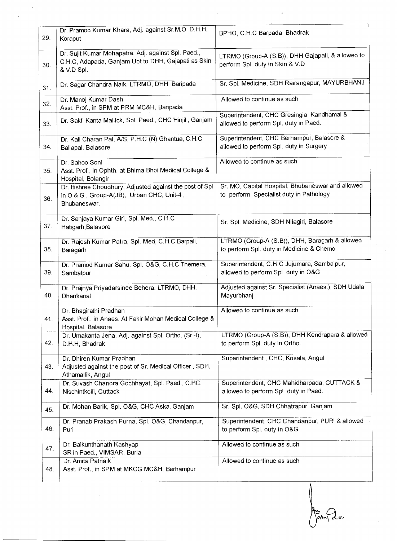| 29. | Dr. Pramod Kumar Khara, Adj. against Sr.M.O, D.H.H,<br>Koraput                                                           | BPHO, C.H.C Barpada, Bhadrak                                                                 |
|-----|--------------------------------------------------------------------------------------------------------------------------|----------------------------------------------------------------------------------------------|
| 30. | Dr. Sujit Kumar Mohapatra, Adj. against Spl. Paed.,<br>C.H.C. Adapada, Ganjam Uot to DHH, Gajapati as Skin<br>& V.D Spl. | LTRMO (Group-A (S.B)), DHH Gajapati, & allowed to<br>perform Spl. duty in Skin & V.D         |
| 31. | Dr. Sagar Chandra Naik, LTRMO, DHH, Baripada                                                                             | Sr. Spl. Medicine, SDH Rairangapur, MAYURBHANJ                                               |
| 32. | Dr. Manoj Kumar Dash<br>Asst. Prof., in SPM at PRM MC&H, Baripada                                                        | Allowed to continue as such                                                                  |
| 33. | Dr. Sakti Kanta Mallick, Spl. Paed., CHC Hinjili, Ganjam                                                                 | Superintendent, CHC Gresingia, Kandhamal &<br>allowed to perform Spl. duty in Paed.          |
| 34. | Dr. Kali Charan Pal, A/S, P.H.C (N) Ghantua, C.H.C<br>Baliapal, Balasore                                                 | Superintendent, CHC Berhampur, Balasore &<br>allowed to perform Spl. duty in Surgery         |
| 35. | Dr. Sahoo Soni<br>Asst. Prof., in Ophth. at Bhima Bhoi Medical College &<br>Hospital, Bolangir                           | Allowed to continue as such                                                                  |
| 36. | Dr. Itishree Choudhury, Adjusted against the post of Spl<br>in O & G, Group-A(JB), Urban CHC, Unit-4,<br>Bhubaneswar.    | Sr. MO, Capital Hospital, Bhubaneswar and allowed<br>to perform Specialist duty in Pathology |
| 37. | Dr. Sanjaya Kumar Giri, Spl. Med., C.H.C.<br>Hatigarh, Balasore                                                          | Sr. Spl. Medicine, SDH Nilagiri, Balasore                                                    |
| 38. | Dr. Rajesh Kumar Patra, Spl. Med, C.H.C Barpali,<br>Baragarh                                                             | LTRMO (Group-A (S.B)), DHH, Baragarh & allowed<br>to perform Spl. duty in Medicine & Chemo   |
| 39. | Dr. Pramod Kumar Sahu, Spl. O&G, C.H.C Themera,<br>Sambalpur                                                             | Superintendent, C.H.C Jujumara, Sambalpur,<br>allowed to perform Spl. duty in O&G            |
| 40. | Dr. Prajnya Priyadarsinee Behera, LTRMO, DHH,<br>Dhenkanal                                                               | Adjusted against Sr. Specialist (Anaes.), SDH Udala,<br>Mayurbhanj                           |
| 41. | Dr. Bhagirathi Pradhan<br>Asst. Prof., in Anaes. At Fakir Mohan Medical College &<br>Hospital, Balasore                  | Allowed to continue as such                                                                  |
| 42. | Dr. Umakanta Jena, Adj. against Spl. Ortho. (Sr.-I),<br>D.H.H, Bhadrak                                                   | LTRMO (Group-A (S.B)), DHH Kendrapara & allowed<br>to perform Spl. duty in Ortho.            |
| 43. | Dr. Dhiren Kumar Pradhan<br>Adjusted against the post of Sr. Medical Officer, SDH,<br>Athamallik, Angul                  | Superintendent, CHC, Kosala, Angul                                                           |
| 44. | Dr. Suvash Chandra Gochhayat, Spl. Paed., C.HC.<br>Nischintkoili, Cuttack                                                | Superintendent, CHC Mahidharpada, CUTTACK &<br>allowed to perform Spl. duty in Paed.         |
| 45. | Dr. Mohan Barik, Spl. O&G, CHC Aska, Ganjam                                                                              | Sr. Spl. O&G, SDH Chhatrapur, Ganjam                                                         |
| 46. | Dr. Pranab Prakash Purna, Spl. O&G, Chandanpur,<br>Puri                                                                  | Superintendent, CHC Chandanpur, PURI & allowed<br>to perform Spl. duty in O&G                |
| 47. | Dr. Baikunthanath Kashyap<br>SR in Paed., VIMSAR, Burla                                                                  | Allowed to continue as such                                                                  |
| 48. | Dr. Amita Patnaik<br>Asst. Prof., in SPM at MKCG MC&H, Berhampur                                                         | Allowed to continue as such                                                                  |

Famy doc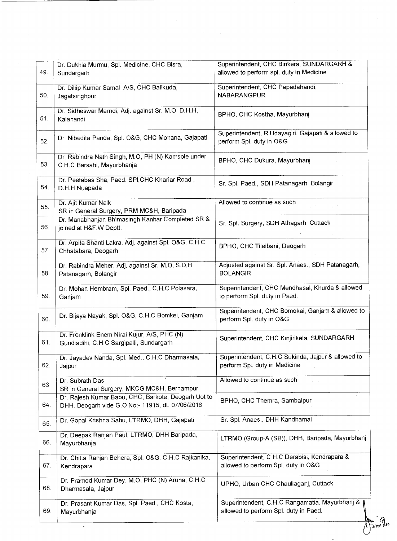| 49. | Dr. Dukhia Murmu, Spl. Medicine, CHC Bisra,<br>Sundargarh                                               | Superintendent, CHC Birikera, SUNDARGARH &<br>allowed to perform spl. duty in Medicine  |
|-----|---------------------------------------------------------------------------------------------------------|-----------------------------------------------------------------------------------------|
| 50. | Dr. Dillip Kumar Samal, A/S, CHC Balikuda,<br>Jagatsinghpur                                             | Superintendent, CHC Papadahandi,<br><b>NABARANGPUR</b>                                  |
| 51. | Dr. Sidheswar Marndi, Adj. against Sr. M.O, D.H.H,<br>Kalahandi                                         | BPHO, CHC Kostha, Mayurbhanj                                                            |
| 52. | Dr. Nibedita Panda, Spl. O&G, CHC Mohana, Gajapati                                                      | Superintendent, R Udayagiri, Gajapati & allowed to<br>perform Spl. duty in O&G          |
| 53. | Dr. Rabindra Nath Singh, M.O, PH (N) Kamsole under<br>C.H.C Barsahi, Mayurbhanja                        | BPHO, CHC Dukura, Mayurbhanj                                                            |
| 54. | Dr. Peetabas Sha, Paed. SPI, CHC Khariar Road,<br>D.H.H Nuapada                                         | Sr. Spl. Paed., SDH Patanagarh, Bolangir                                                |
| 55. | Dr. Ajit Kumar Naik<br>SR in General Surgery, PRM MC&H, Baripada                                        | Allowed to continue as such                                                             |
| 56. | Dr. Manabhanjan Bhimasingh Kanhar Completed SR &<br>joined at H&F.W Deptt.                              | Sr. Spl. Surgery, SDH Athagarh, Cuttack                                                 |
| 57. | Dr. Arpita Shanti Lakra, Adj. against Spl. O&G, C.H.C<br>Chhatabara, Deogarh                            | BPHO, CHC Tileibani, Deogarh                                                            |
| 58. | Dr. Rabindra Meher, Adj. against Sr. M.O, S.D.H<br>Patanagarh, Bolangir                                 | Adjusted against Sr. Spl. Anaes., SDH Patanagarh,<br><b>BOLANGIR</b>                    |
| 59. | Dr. Mohan Hembram, Spl. Paed., C.H.C Polasara,<br>Ganjam                                                | Superintendent, CHC Mendhasal, Khurda & allowed<br>to perform Spl. duty in Paed.        |
| 60. | Dr. Bijaya Nayak, Spl. O&G, C.H.C Bomkei, Ganjam                                                        | Superintendent, CHC Bomokai, Ganjam & allowed to<br>perform Spl. duty in O&G            |
| 61. | Dr. Frenklink Enem Niral Kujur, A/S, PHC (N)<br>Gundiadihi, C.H.C Sargipalli, Sundargarh                | Superintendent, CHC Kinjirikela, SUNDARGARH                                             |
| 62. | Dr. Jayadev Nanda, Spl. Med., C.H.C Dharmasala,<br>Jajpur                                               | Superintendent, C.H.C Sukinda, Jajpur & allowed to<br>perform Spl. duty in Medicine     |
| 63. | Dr. Subrath Das<br>SR in General Surgery, MKCG MC&H, Berhampur                                          | Allowed to continue as such                                                             |
| 64. | Dr. Rajesh Kumar Babu, CHC, Barkote, Deogarh Uot to<br>DHH, Deogarh vide G.O No:- 11915, dt. 07/06/2016 | BPHO, CHC Themra, Sambalpur                                                             |
| 65. | Dr. Gopal Krishna Sahu, LTRMO, DHH, Gajapati                                                            | Sr. Spl. Anaes., DHH Kandhamal                                                          |
| 66. | Dr. Deepak Ranjan Paul, LTRMO, DHH Baripada,<br>Mayurbhanja                                             | LTRMO (Group-A (SB)), DHH, Baripada, Mayurbhanj                                         |
| 67. | Dr. Chitta Ranjan Behera, Spl. O&G, C.H.C Rajkanika,<br>Kendrapara                                      | Superintendent, C.H.C Derabisi, Kendrapara &<br>allowed to perform Spl. duty in O&G     |
| 68. | Dr. Pramod Kumar Dey, M.O, PHC (N) Aruha, C.H.C<br>Dharmasala, Jajpur                                   | UPHO, Urban CHC Chauliaganj, Cuttack                                                    |
| 69. | Dr. Prasant Kumar Das, Spl. Paed., CHC Kosta,<br>Mayurbhanja                                            | Superintendent, C.H.C Rangamatia, Mayurbhanj &<br>allowed to perform Spl. duty in Paed. |

 $\label{eq:2.1} \frac{1}{\sqrt{2}}\left(\frac{1}{\sqrt{2}}\right)^{2} \left(\frac{1}{\sqrt{2}}\right)^{2} \left(\frac{1}{\sqrt{2}}\right)^{2} \left(\frac{1}{\sqrt{2}}\right)^{2}$ 

 $\frac{1}{2}$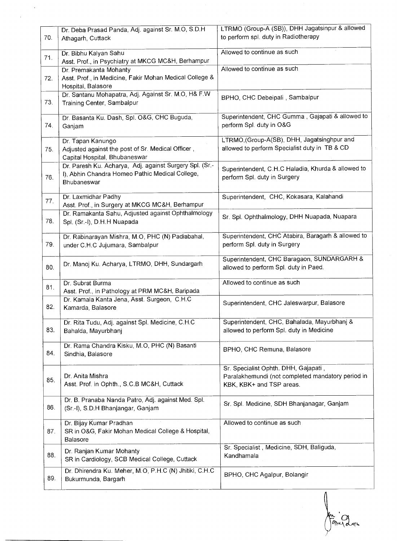| 70. | Dr. Deba Prasad Panda, Adj. against Sr. M.O, S.D.H.<br>Athagarh, Cuttack                                                  | LTRMO (Group-A (SB)), DHH Jagatsinpur & allowed<br>to perform spl. duty in Radiotherapy                               |
|-----|---------------------------------------------------------------------------------------------------------------------------|-----------------------------------------------------------------------------------------------------------------------|
| 71. | Dr. Bibhu Kalyan Sahu<br>Asst. Prof., in Psychiatry at MKCG MC&H, Berhampur                                               | Allowed to continue as such                                                                                           |
| 72. | Dr. Premakanta Mohanty<br>Asst. Prof., in Medicine, Fakir Mohan Medical College &<br>Hospital, Balasore                   | Allowed to continue as such                                                                                           |
| 73. | Dr. Santanu Mohapatra, Adj. Against Sr. M.O, H& F.W<br>Training Center, Sambalpur                                         | BPHO, CHC Debeipali, Sambalpur                                                                                        |
| 74. | Dr. Basanta Ku. Dash, Spl. O&G, CHC Buguda,<br>Ganjam                                                                     | Superintendent, CHC Gumma, Gajapati & allowed to<br>perform Spl. duty in O&G                                          |
| 75. | Dr. Tapan Kanungo<br>Adjusted against the post of Sr. Medical Officer,<br>Capital Hospital, Bhubaneswar                   | LTRMO, (Group-A(SB), DHH, Jagatsinghpur and<br>allowed to perform Specialist duty in TB & CD                          |
| 76. | Dr. Paresh Ku. Acharya, Adj. against Surgery Spl. (Sr.-<br>I), Abhin Chandra Homeo Pathic Medical College,<br>Bhubaneswar | Superintendent, C.H.C Haladia, Khurda & allowed to<br>perform Spl. duty in Surgery                                    |
| 77. | Dr. Laxmidhar Padhy<br>Asst. Prof., in Surgery at MKCG MC&H, Berhampur                                                    | Superintendent, CHC, Kokasara, Kalahandi                                                                              |
| 78. | Dr. Ramakanta Sahu, Adjusted against Ophthalmology<br>Spl. (Sr.-I), D.H.H Nuapada                                         | Sr. Spl. Ophthalmology, DHH Nuapada, Nuapara                                                                          |
| 79. | Dr. Rabinarayan Mishra, M.O. PHC (N) Padiabahal,<br>under C.H.C Jujumara, Sambalpur                                       | Superintendent, CHC Atabira, Baragarh & allowed to<br>perform Spl. duty in Surgery                                    |
| 80. | Dr. Manoj Ku. Acharya, LTRMO, DHH, Sundargarh                                                                             | Superintendent, CHC Baragaon, SUNDARGARH &<br>allowed to perform Spl. duty in Paed.                                   |
| 81. | Dr. Subrat Burma<br>Asst. Prof., in Pathology at PRM MC&H, Baripada                                                       | Allowed to continue as such                                                                                           |
| 82. | Dr. Kamala Kanta Jena, Asst. Surgeon, C.H.C.<br>Kamarda, Balasore                                                         | Superintendent, CHC Jaleswarpur, Balasore                                                                             |
| 83. | Dr. Rita Tudu, Adj. against Spl. Medicine, C.H.C<br>Bahalda, Mayurbhanj                                                   | Superintendent, CHC, Bahalada, Mayurbhanj &<br>allowed to perform Spl. duty in Medicine                               |
| 84. | Dr. Rama Chandra Kisku, M.O, PHC (N) Basanti<br>Sindhia, Balasore                                                         | BPHO, CHC Remuna, Balasore                                                                                            |
| 85. | Dr. Anita Mishra<br>Asst. Prof. in Ophth., S.C.B MC&H, Cuttack                                                            | Sr. Specialist Ophth. DHH, Gajapati,<br>Paralakhemundi (not completed mandatory period in<br>KBK, KBK+ and TSP areas. |
| 86. | Dr. B. Pranaba Nanda Patro, Adj. against Med. Spl.<br>(Sr.-I), S.D.H Bhanjangar, Ganjam                                   | Sr. Spl. Medicine, SDH Bhanjanagar, Ganjam                                                                            |
| 87. | Dr. Bijay Kumar Pradhan<br>SR in O&G, Fakir Mohan Medical College & Hospital,<br>Balasore                                 | Allowed to continue as such                                                                                           |
| 88. | Dr. Ranjan Kumar Mohanty<br>SR in Cardiology, SCB Medical College, Cuttack                                                | Sr. Specialist, Medicine, SDH, Baliguda,<br>Kandhamala                                                                |
| 89. | Dr. Dhirendra Ku. Meher, M.O. P.H.C (N) Jhitiki, C.H.C<br>Bukurmunda, Bargarh                                             | BPHO, CHC Agalpur, Bolangir                                                                                           |

Λ  $| \mathop{{\rm Im}}\nolimits \backslash \alpha|$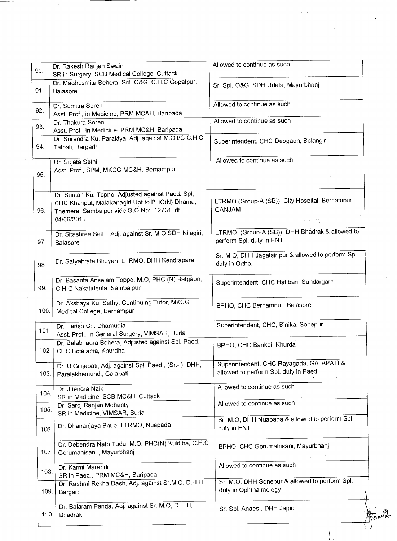| 90.  | Dr. Rakesh Ranjan Swain                                                                                                                                          | Allowed to continue as such                                                       |
|------|------------------------------------------------------------------------------------------------------------------------------------------------------------------|-----------------------------------------------------------------------------------|
|      | SR in Surgery, SCB Medical College, Cuttack                                                                                                                      |                                                                                   |
| 91.  | Dr. Madhusmita Behera, Spl. O&G, C.H.C Gopalpur,<br>Balasore                                                                                                     | Sr. Spl. O&G, SDH Udala, Mayurbhani                                               |
| 92.  | Dr. Sumitra Soren<br>Asst. Prof., in Medicine, PRM MC&H, Baripada                                                                                                | Allowed to continue as such                                                       |
| 93.  | Dr. Thakura Soren<br>Asst. Prof., in Medicine, PRM MC&H, Baripada                                                                                                | Allowed to continue as such                                                       |
| 94.  | Dr. Surendra Ku. Parakiya, Adj. against M.O I/C C.H.C<br>Talpali, Bargarh                                                                                        | Superintendent, CHC Deogaon, Bolangir                                             |
| 95.  | Dr. Sujata Sethi<br>Asst. Prof., SPM, MKCG MC&H, Berhampur                                                                                                       | Allowed to continue as such                                                       |
| 96.  | Dr. Suman Ku. Topno, Adjusted against Paed. Spl,<br>CHC Khariput, Malakanagiri Uot to PHC(N) Dhama,<br>Themera, Sambalpur vide G.O No:- 12731, dt.<br>04/06/2015 | LTRMO (Group-A (SB)), City Hospital, Berhampur,<br><b>GANJAM</b>                  |
|      |                                                                                                                                                                  | jugitanajn.                                                                       |
| 97.  | Dr. Sitashree Sethi, Adj. against Sr. M.O SDH Nilagiri,<br>Balasore                                                                                              | LTRMO (Group-A (SB)), DHH Bhadrak & allowed to<br>perform Spl. duty in ENT        |
| 98.  | Dr. Satyabrata Bhuyan, LTRMO, DHH Kendrapara                                                                                                                     | Sr. M.O. DHH Jagatsinpur & allowed to perform Spl.<br>duty in Ortho.              |
| 99.  | Dr. Basanta Anselam Toppo, M.O, PHC (N) Batgaon,<br>C.H.C Nakatideula, Sambalpur                                                                                 | Superintendent, CHC Hatibari, Sundargarh                                          |
| 100. | Dr. Akshaya Ku. Sethy, Continuing Tutor, MKCG<br>Medical College, Berhampur                                                                                      | BPHO, CHC Berhampur, Balasore                                                     |
| 101. | Dr. Harish Ch. Dhamudia<br>Asst. Prof., in General Surgery, VIMSAR, Burla                                                                                        | Superintendent, CHC, Binika, Sonepur                                              |
| 102. | Dr. Balabhadra Behera, Adjusted against Spl. Paed.<br>CHC Botalama, Khurdha                                                                                      | BPHO, CHC Bankoi, Khurda                                                          |
| 103. | Dr. U.Girijapati, Adj. against Spl. Paed., (Sr.-I), DHH,<br>Paralakhemundi, Gajapati                                                                             | Superintendent, CHC Rayagada, GAJAPATI &<br>allowed to perform Spl. duty in Paed. |
| 104. | Dr. Jitendra Naik<br>SR in Medicine, SCB MC&H, Cuttack                                                                                                           | Allowed to continue as such                                                       |
| 105. | Dr. Saroj Ranjan Mohanty<br>SR in Medicine, VIMSAR, Burla                                                                                                        | Allowed to continue as such                                                       |
| 106. | Dr. Dhananjaya Bhue, LTRMO, Nuapada                                                                                                                              | Sr. M.O, DHH Nuapada & allowed to perform Spl.<br>duty in ENT                     |
| 107. | Dr. Debendra Nath Tudu, M.O, PHC(N) Kuldiha, C.H.C<br>Gorumahisani, Mayurbhanj                                                                                   | BPHO, CHC Gorumahisani, Mayurbhanj                                                |
| 108. | Dr. Karmi Marandi<br>SR in Paed., PRM MC&H, Baripada                                                                                                             | Allowed to continue as such                                                       |
| 109. | Dr. Rashmi Rekha Dash, Adj. against Sr.M.O, D.H.H.<br>Bargarh                                                                                                    | Sr. M.O. DHH Sonepur & allowed to perform Spl.<br>duty in Ophthalmology           |
| 110. | Dr. Balaram Panda, Adj. against Sr. M.O. D.H.H.<br>Bhadrak                                                                                                       | Sr. Spl. Anaes., DHH Jajpur                                                       |

 $\label{eq:2.1} \mathcal{L}_{\mathcal{A}}(\mathbf{x},\mathbf{y})=\mathcal{L}_{\mathcal{A}}(\mathbf{x},\mathbf{y})\mathcal{L}_{\mathcal{A}}(\mathbf{x},\mathbf{y})\mathcal{L}_{\mathcal{A}}(\mathbf{x},\mathbf{y})$ 

 $\label{eq:2.1} \begin{split} \mathcal{L}_{\text{max}}(\mathcal{L}_{\text{max}}(\mathbf{r},\mathbf{r})) = \mathcal{L}_{\text{max}}(\mathbf{r},\mathbf{r}) \\ = \mathcal{L}_{\text{max}}(\mathbf{r},\mathbf{r}) = \mathcal{L}_{\text{max}}(\mathbf{r},\mathbf{r}) \\ = \mathcal{L}_{\text{max}}(\mathbf{r},\mathbf{r}) \end{split}$ 

 $\left(\begin{smallmatrix} \cdot & \cdot \\ \cdot & \cdot & \cdot \end{smallmatrix}\right)$ 

 $\label{eq:2.1} \begin{split} \mathcal{L}_{\text{max}}(\mathcal{L}_{\text{max}}) = \mathcal{L}_{\text{max}}(\mathcal{L}_{\text{max}}) \end{split}$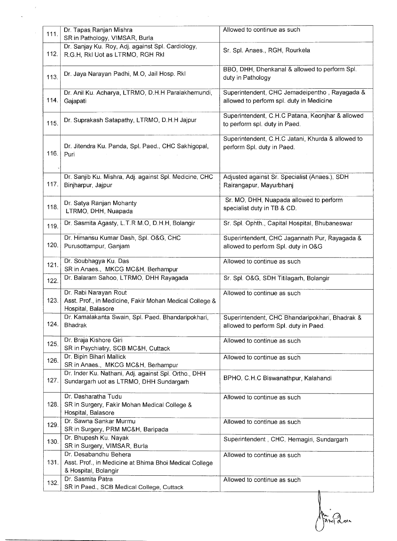|      | Dr. Tapas Ranjan Mishra                                                                                | Allowed to continue as such                                                               |
|------|--------------------------------------------------------------------------------------------------------|-------------------------------------------------------------------------------------------|
| 111. | SR in Pathology, VIMSAR, Burla                                                                         |                                                                                           |
| 112. | Dr. Sanjay Ku. Roy, Adj. against Spl. Cardiology,<br>R.G.H, Rkl Uot as LTRMO, RGH Rkl                  | Sr. Spl. Anaes., RGH, Rourkela                                                            |
| 113. | Dr. Jaya Narayan Padhi, M.O, Jail Hosp. Rkl                                                            | BBO, DHH, Dhenkanal & allowed to perform Spl.<br>duty in Pathology                        |
| 114. | Dr. Anil Ku. Acharya, LTRMO, D.H.H Paralakhemundi,<br>Gajapati                                         | Superintendent, CHC Jemadeipentho, Rayagada &<br>allowed to perform spl. duty in Medicine |
| 115. | Dr. Suprakash Satapathy, LTRMO, D.H.H Jajpur                                                           | Superintendent, C.H.C Patana, Keonjhar & allowed<br>to perform spl. duty in Paed.         |
| 116. | Dr. Jitendra Ku. Panda, Spl. Paed., CHC Sakhigopal,<br>Puri                                            | Superintendent, C.H.C Jatani, Khurda & allowed to<br>perform Spl. duty in Paed.           |
| 117. | Dr. Sanjib Ku. Mishra, Adj. against Spl. Medicine, CHC<br>Binjharpur, Jajpur                           | Adjusted against Sr. Specialist (Anaes.), SDH<br>Rairangapur, Mayurbhanj                  |
| 118. | Dr. Satya Ranjan Mohanty<br>LTRMO, DHH, Nuapada                                                        | Sr. MO, DHH, Nuapada allowed to perform<br>specialist duty in TB & CD.                    |
| 119. | Dr. Sasmita Agasty, L.T.R M.O, D.H.H, Bolangir                                                         | Sr. Spl. Ophth., Capital Hospital, Bhubaneswar                                            |
| 120. | Dr. Himansu Kumar Dash, Spl. O&G, CHC<br>Purusottampur, Ganjam                                         | Superintendent, CHC Jagannath Pur, Rayagada &<br>allowed to perform Spl. duty in O&G      |
| 121. | Dr. Soubhagya Ku. Das<br>SR in Anaes., MKCG MC&H, Berhampur                                            | Allowed to continue as such                                                               |
| 122. | Dr. Balaram Sahoo, LTRMO, DHH Rayagada                                                                 | Sr. Spl. O&G, SDH Titilagarh, Bolangir                                                    |
| 123. | Dr. Rabi Narayan Rout<br>Asst. Prof., in Medicine, Fakir Mohan Medical College &<br>Hospital, Balasore | Allowed to continue as such                                                               |
| 124. | Dr. Kamalakanta Swain, Spl. Paed. Bhandaripokhari,<br><b>Bhadrak</b>                                   | Superintendent, CHC Bhandaripokhari, Bhadrak &<br>allowed to perform Spl. duty in Paed.   |
| 125. | Dr. Braja Kishore Giri<br>SR in Psychiatry, SCB MC&H, Cuttack                                          | Allowed to continue as such                                                               |
| 126. | Dr. Bipin Bihari Mallick<br>SR in Anaes., MKCG MC&H, Berhampur                                         | Allowed to continue as such                                                               |
| 127. | Dr. Inder Ku. Nathani, Adj. against Spl. Ortho., DHH<br>Sundargarh uot as LTRMO, DHH Sundargarh        | BPHO, C.H.C Biswanathpur, Kalahandi                                                       |
| 128. | Dr. Dasharatha Tudu<br>SR in Surgery, Fakir Mohan Medical College &<br>Hospital, Balasore              | Allowed to continue as such                                                               |
| 129. | Dr. Sawna Sankar Murmu<br>SR in Surgery, PRM MC&H, Baripada                                            | Allowed to continue as such                                                               |
| 130. | Dr. Bhupesh Ku. Nayak<br>SR in Surgery, VIMSAR, Burla                                                  | Superintendent, CHC, Hemagiri, Sundargarh                                                 |
| 131. | Dr. Desabandhu Behera<br>Asst. Prof., in Medicine at Bhima Bhoi Medical College                        | Allowed to continue as such                                                               |
|      | & Hospital, Bolangir                                                                                   |                                                                                           |

Ariana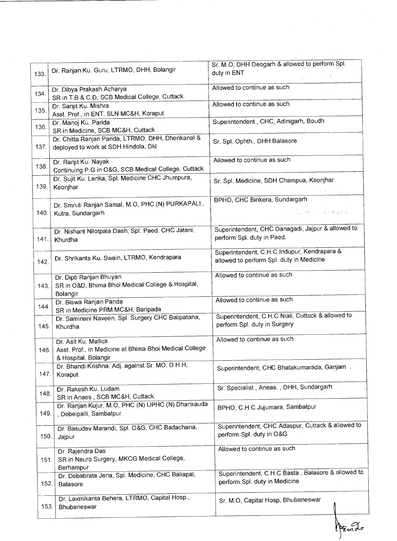| 133. |                                                                                                        | Sr. M.O, DHH Deogarh & allowed to perform Spl.                                          |
|------|--------------------------------------------------------------------------------------------------------|-----------------------------------------------------------------------------------------|
|      | Dr. Ranjan Ku. Guru, LTRMO, DHH, Bolangir                                                              | duty in ENT                                                                             |
|      | Dr. Dibya Prakash Acharya                                                                              | Allowed to continue as such                                                             |
| 134. | SR in T.B & C.D, SCB Medical College, Cuttack                                                          |                                                                                         |
| 135. | Dr. Sanjit Ku. Mishra<br>Asst. Prof., in ENT, SLN MC&H, Koraput                                        | Allowed to continue as such                                                             |
| 136. | Dr. Manoj Ku. Parida<br>SR in Medicine, SCB MC&H, Cuttack                                              | Superintendent, CHC, Adinigarh, Boudh                                                   |
| 137. | Dr. Chitta Ranjan Parida, LTRMO, DHH, Dhenkanal &<br>deployed to work at SDH Hindola, Dkl              | Sr. Spl. Ophth., DHH Balasore                                                           |
| 138. | Dr. Ranjit Ku. Nayak<br>Continuing P.G in O&G, SCB Medical College, Cuttack                            | Allowed to continue as such                                                             |
| 139. | Dr. Sujit Ku. Lenka, Spl. Medicine CHC Jhumpura,<br>Keonjhar                                           | Sr. Spl. Medicine, SDH Champua, Keonjhar                                                |
| 140. | Dr. Smruti Ranjan Samal, M.O, PHC (N) PURKAPALI,<br>Kutra, Sundargarh                                  | BPHO, CHC Birikera, Sundargarh<br>a na mga salawang                                     |
| 141. | Dr. Nishant Nilotpala Dash, Spl. Paed. CHC Jatani,<br>Khurdha                                          | Superintendent, CHC Danagadi, Jajpur & allowed to<br>perform Spl. duty in Paed.         |
| 142. | Dr. Shrikanta Ku. Swain, LTRMO, Kendrapara                                                             | Superintendent, C.H.C Indupur, Kendrapara &<br>allowed to perform Spl. duty in Medicine |
| 143. | Dr. Dipti Ranjan Bhuyan<br>SR in O&D, Bhima Bhoi Medical College & Hospital,<br>Bolangir               | Allowed to continue as such                                                             |
| 144. | Dr. Biswa Ranjan Panda<br>SR in Medicine PRM MC&H, Baripada                                            | Allowed to continue as such                                                             |
| 145. | Dr. Saminani Naveen, Spl. Surgery CHC Balipatana,<br>Khurdha                                           | Superintendent, C.H.C Niali, Cuttack & allowed to<br>perform Spl. duty in Surgery       |
| 146. | Dr. Asit Ku. Mallick<br>Asst. Prof., in Medicine at Bhima Bhoi Medical College<br>& Hospital, Bolangir | Allowed to continue as such                                                             |
| 147. | Dr. Bhandi Krishna, Adj. against Sr. MO, D.H.H,<br>Koraput                                             | Superintendent, CHC Bhatakumarada, Ganjam.                                              |
| 148. | Dr. Rakesh Ku. Ludam<br>SR in Anaes., SCB MC&H, Cuttack                                                | Sr. Specialist, Aneas., DHH, Sundargarh                                                 |
| 149. | Dr. Ranjan Kujur, M.O. PHC (N) UPHC (N) Dhankauda<br>, Debeipalli, Sambalpur                           | BPHO, C.H.C Jujumara, Sambalpur                                                         |
| 150. | Dr. Basudev Marandi, Spl. O&G, CHC Badachana,<br>Jajpur                                                | Superintendent, CHC Adaspur, Cuttack & allowed to<br>perform Spl. duty in O&G           |
| 151. | Dr. Rajendra Das<br>SR in Neuro Surgery, MKCG Medical College,<br>Berhampur                            | Allowed to continue as such                                                             |
| 152. | Dr. Debabrata Jena, Spl. Medicine, CHC Baliapal,<br>Balasore                                           | Superintendent, C.H.C Basta, Balasore & allowed to<br>perform Spl. duty in Medicine     |
| 153. | Dr. Laxmikanta Behera, LTRMO, Capital Hosp.,<br>Bhubaneswar                                            | Sr. M.O, Capital Hosp, Bhubaneswar                                                      |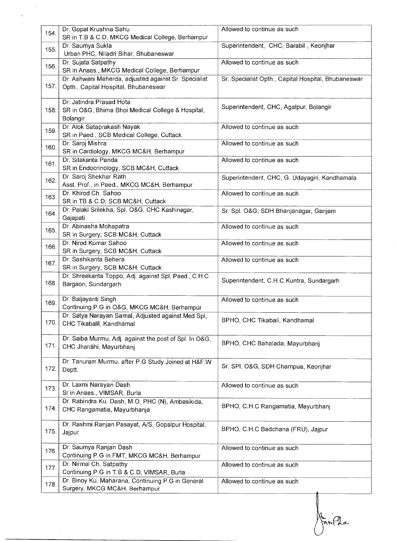| 154. | Dr. Gopal Krushna Sahu<br>SR in T.B & C.D, MKCG Medical College, Berhampur                   | Allowed to continue as such                         |
|------|----------------------------------------------------------------------------------------------|-----------------------------------------------------|
| 155. | Dr. Saumya Sukla<br>Urban PHC, Niladri Bihar, Bhubaneswar                                    | Superintendent, CHC, Barabil, Keonjhar              |
| 156. | Dr. Sujata Satpathy<br>SR in Anaes., MKCG Medical College, Berhampur                         | Allowed to continue as such                         |
| 157. | Dr. Ashwani Meherda, adjusted against Sr. Specialist<br>Opth., Capital Hospital, Bhubaneswar | Sr. Specialist Opth., Capital Hospital, Bhubaneswar |
| 158. | Dr. Jatindra Prasad Hota<br>SR in O&G, Bhima Bhoi Medical College & Hospital,<br>Bolangir    | Superintendent, CHC, Agalpur, Bolangir              |
| 159. | Dr. Alok Sataprakash Nayak<br>SR in Paed., SCB Medical College, Cuttack                      | Allowed to continue as such                         |
| 160. | Dr. Saroj Mishra<br>SR in Cardiology, MKCG MC&H, Berhampur                                   | Allowed to continue as such                         |
| 161. | Dr. Sitakanta Panda<br>SR in Endocrinology, SCB MC&H, Cuttack                                | Allowed to continue as such                         |
| 162. | Dr. Saroj Shekhar Rath<br>Asst. Prof., in Paed., MKCG MC&H, Berhampur                        | Superintendent, CHC, G. Udayagiri, Kandhamala       |
| 163. | Dr. Khirod Ch. Sahoo<br>SR in TB & C.D, SCB MC&H, Cuttack                                    | Allowed to continue as such                         |
| 164. | Dr. Palaki Srilekha, Spl. O&G, CHC Kashinagar,<br>Gajapati                                   | Sr. Spl. O&G, SDH Bhanjanagar, Ganjam               |
| 165. | Dr. Abinasha Mohapatra<br>SR in Surgery, SCB MC&H, Cuttack                                   | Allowed to continue as such                         |
| 166. | Dr. Nirod Kumar Sahoo<br>SR in Surgery, SCB MC&H, Cuttack                                    | Allowed to continue as such                         |
| 167. | Dr. Sashikanta Behera<br>SR in Surgery, SCB MC&H, Cuttack                                    | Allowed to continue as such                         |
| 168. | Dr. Shreekanta Toppo, Adj. against Spl. Paed., C.H.C.<br>Bargaon, Sundargarh                 | Superintendent, C.H.C Kuntra, Sundargarh            |
| 169. | Dr. Baijayanti Singh<br>Continuing P.G in O&G, MKCG MC&H, Berhampur                          | Allowed to continue as such                         |
| 170. | Dr. Satya Narayan Samal, Adjusted against Med Spl,<br>CHC Tikabalil, Kandhamal               | BPHO, CHC Tikabali, Kandhamal                       |
| 171. | Dr. Saiba Murmu, Adj. against the post of Spl. In O&G,<br>CHC Jhardihi, Mayurbhanj           | BPHO, CHC Bahalada, Mayurbhanj                      |
| 172. | Dr. Tanuram Murmu, after P.G Study Joined at H&F.W<br>Deptt.                                 | Sr. SPI. O&G, SDH Champua, Keonjhar                 |
| 173. | Dr. Laxmi Narayan Dash<br>Sr in Anaes., VIMSAR, Burla                                        | Allowed to continue as such                         |
| 174. | Dr. Rabindra Ku. Dash, M.O, PHC (N), Ambasikida,<br>CHC Rangamatia, Mayurbhanja              | BPHO, C.H.C Rangamatia, Mayurbhanj                  |
| 175. | Dr. Rashmi Ranjan Pasayat, A/S, Gopalpur Hospital,<br>Jajpur                                 | BPHO, C.H.C Badchana (FRU), Jajpur                  |
| 176. | Dr. Saumya Ranjan Dash<br>Continuing P.G in FMT, MKCG MC&H, Berhampur                        | Allowed to continue as such                         |
| 177. | Dr. Nirmal Ch. Satpathy<br>Continuing P.G in T.B & C.D, VIMSAR, Burla                        | Allowed to continue as such                         |
| 178. | Dr. Binoy Ku. Maharana, Continuing P.G in General<br>Surgery, MKCG MC&H, Berhampur           | Allowed to continue as such                         |

Marian